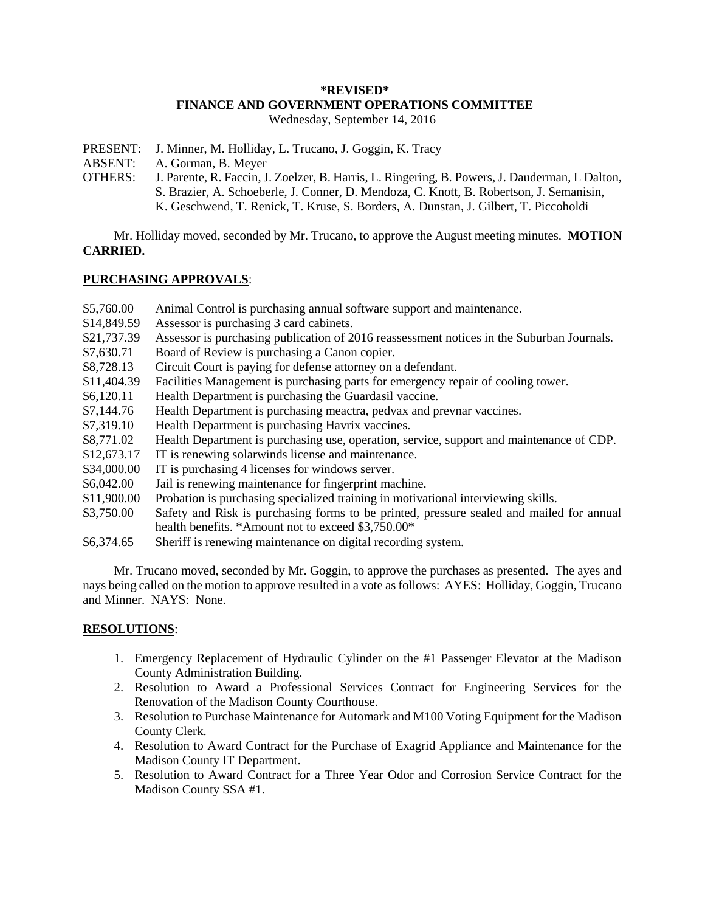#### **\*REVISED\* FINANCE AND GOVERNMENT OPERATIONS COMMITTEE** Wednesday, September 14, 2016

- PRESENT: J. Minner, M. Holliday, L. Trucano, J. Goggin, K. Tracy
- ABSENT: A. Gorman, B. Meyer
- OTHERS: J. Parente, R. Faccin, J. Zoelzer, B. Harris, L. Ringering, B. Powers, J. Dauderman, L Dalton, S. Brazier, A. Schoeberle, J. Conner, D. Mendoza, C. Knott, B. Robertson, J. Semanisin, K. Geschwend, T. Renick, T. Kruse, S. Borders, A. Dunstan, J. Gilbert, T. Piccoholdi

Mr. Holliday moved, seconded by Mr. Trucano, to approve the August meeting minutes. **MOTION CARRIED.**

# **PURCHASING APPROVALS**:

- \$5,760.00 Animal Control is purchasing annual software support and maintenance.
- \$14,849.59 Assessor is purchasing 3 card cabinets.
- \$21,737.39 Assessor is purchasing publication of 2016 reassessment notices in the Suburban Journals.
- \$7,630.71 Board of Review is purchasing a Canon copier.
- \$8,728.13 Circuit Court is paying for defense attorney on a defendant.
- \$11,404.39 Facilities Management is purchasing parts for emergency repair of cooling tower.
- \$6,120.11 Health Department is purchasing the Guardasil vaccine.
- \$7,144.76 Health Department is purchasing meactra, pedvax and prevnar vaccines.
- \$7,319.10 Health Department is purchasing Havrix vaccines.
- \$8,771.02 Health Department is purchasing use, operation, service, support and maintenance of CDP.
- \$12,673.17 IT is renewing solarwinds license and maintenance.
- \$34,000.00 IT is purchasing 4 licenses for windows server.
- \$6,042.00 Jail is renewing maintenance for fingerprint machine.
- \$11,900.00 Probation is purchasing specialized training in motivational interviewing skills.
- \$3,750.00 Safety and Risk is purchasing forms to be printed, pressure sealed and mailed for annual health benefits. \*Amount not to exceed \$3,750.00\*
- \$6,374.65 Sheriff is renewing maintenance on digital recording system.

Mr. Trucano moved, seconded by Mr. Goggin, to approve the purchases as presented. The ayes and nays being called on the motion to approve resulted in a vote as follows: AYES: Holliday, Goggin, Trucano and Minner. NAYS: None.

# **RESOLUTIONS**:

- 1. Emergency Replacement of Hydraulic Cylinder on the #1 Passenger Elevator at the Madison County Administration Building.
- 2. Resolution to Award a Professional Services Contract for Engineering Services for the Renovation of the Madison County Courthouse.
- 3. Resolution to Purchase Maintenance for Automark and M100 Voting Equipment for the Madison County Clerk.
- 4. Resolution to Award Contract for the Purchase of Exagrid Appliance and Maintenance for the Madison County IT Department.
- 5. Resolution to Award Contract for a Three Year Odor and Corrosion Service Contract for the Madison County SSA #1.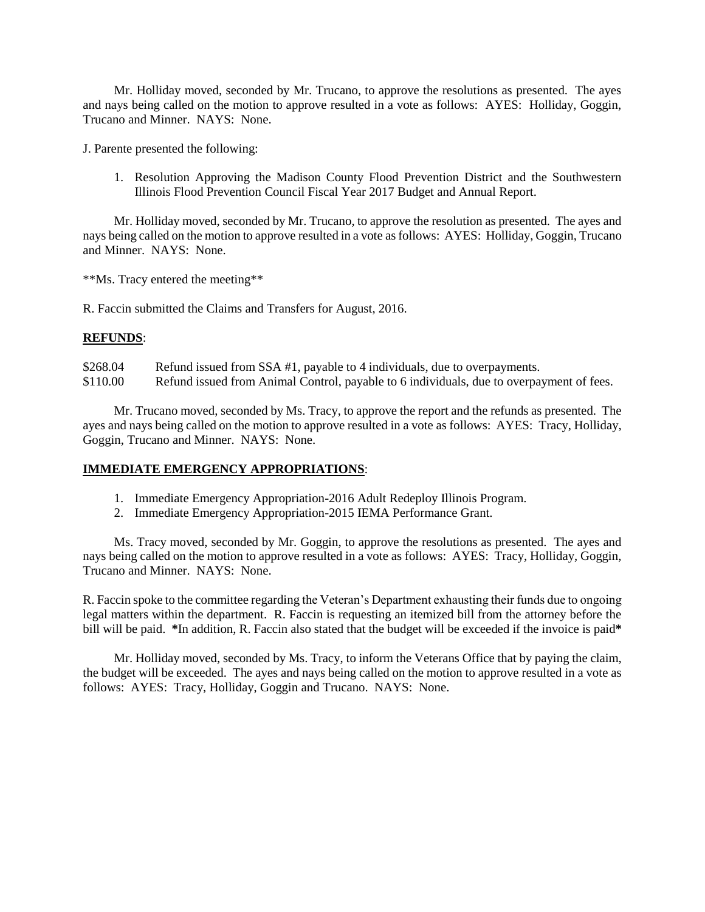Mr. Holliday moved, seconded by Mr. Trucano, to approve the resolutions as presented. The ayes and nays being called on the motion to approve resulted in a vote as follows: AYES: Holliday, Goggin, Trucano and Minner. NAYS: None.

J. Parente presented the following:

1. Resolution Approving the Madison County Flood Prevention District and the Southwestern Illinois Flood Prevention Council Fiscal Year 2017 Budget and Annual Report.

Mr. Holliday moved, seconded by Mr. Trucano, to approve the resolution as presented. The ayes and nays being called on the motion to approve resulted in a vote as follows: AYES: Holliday, Goggin, Trucano and Minner. NAYS: None.

\*\*Ms. Tracy entered the meeting\*\*

R. Faccin submitted the Claims and Transfers for August, 2016.

### **REFUNDS**:

\$268.04 Refund issued from SSA #1, payable to 4 individuals, due to overpayments. \$110.00 Refund issued from Animal Control, payable to 6 individuals, due to overpayment of fees.

Mr. Trucano moved, seconded by Ms. Tracy, to approve the report and the refunds as presented. The ayes and nays being called on the motion to approve resulted in a vote as follows: AYES: Tracy, Holliday, Goggin, Trucano and Minner. NAYS: None.

# **IMMEDIATE EMERGENCY APPROPRIATIONS**:

- 1. Immediate Emergency Appropriation-2016 Adult Redeploy Illinois Program.
- 2. Immediate Emergency Appropriation-2015 IEMA Performance Grant.

Ms. Tracy moved, seconded by Mr. Goggin, to approve the resolutions as presented. The ayes and nays being called on the motion to approve resulted in a vote as follows: AYES: Tracy, Holliday, Goggin, Trucano and Minner. NAYS: None.

R. Faccin spoke to the committee regarding the Veteran's Department exhausting their funds due to ongoing legal matters within the department. R. Faccin is requesting an itemized bill from the attorney before the bill will be paid. **\***In addition, R. Faccin also stated that the budget will be exceeded if the invoice is paid**\***

Mr. Holliday moved, seconded by Ms. Tracy, to inform the Veterans Office that by paying the claim, the budget will be exceeded. The ayes and nays being called on the motion to approve resulted in a vote as follows: AYES: Tracy, Holliday, Goggin and Trucano. NAYS: None.